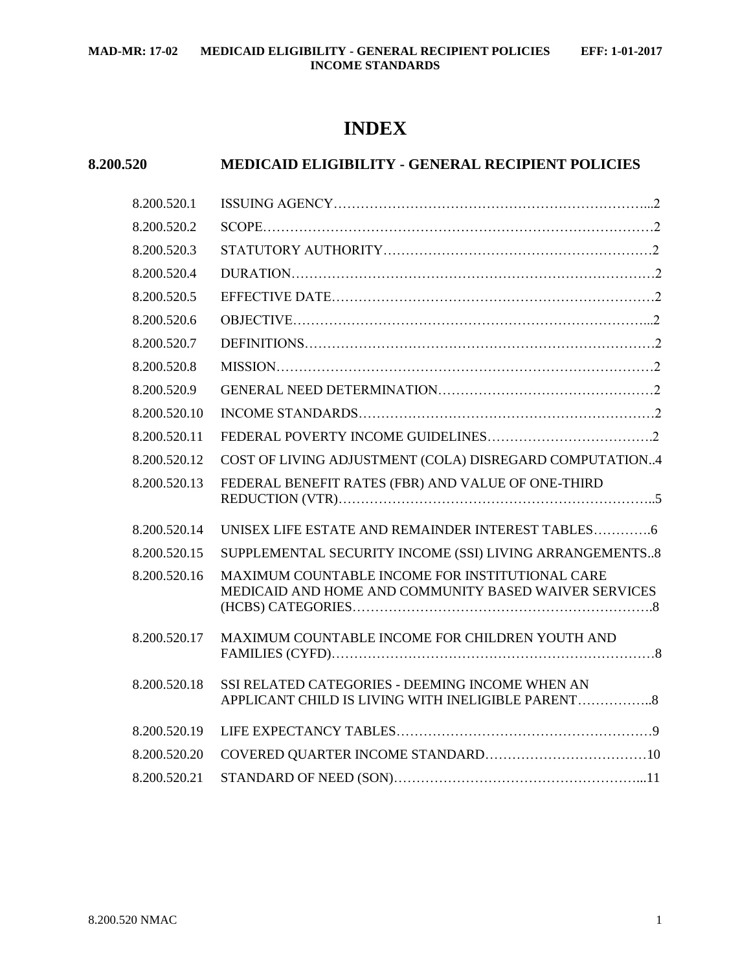# **INDEX**

## **8.200.520 MEDICAID ELIGIBILITY - GENERAL RECIPIENT POLICIES**

| 8.200.520.1  |                                                                                                          |  |
|--------------|----------------------------------------------------------------------------------------------------------|--|
| 8.200.520.2  |                                                                                                          |  |
| 8.200.520.3  |                                                                                                          |  |
| 8.200.520.4  |                                                                                                          |  |
| 8.200.520.5  |                                                                                                          |  |
| 8.200.520.6  |                                                                                                          |  |
| 8.200.520.7  |                                                                                                          |  |
| 8.200.520.8  |                                                                                                          |  |
| 8.200.520.9  |                                                                                                          |  |
| 8.200.520.10 |                                                                                                          |  |
| 8.200.520.11 |                                                                                                          |  |
| 8.200.520.12 | COST OF LIVING ADJUSTMENT (COLA) DISREGARD COMPUTATION4                                                  |  |
| 8.200.520.13 | FEDERAL BENEFIT RATES (FBR) AND VALUE OF ONE-THIRD                                                       |  |
| 8.200.520.14 |                                                                                                          |  |
| 8.200.520.15 | SUPPLEMENTAL SECURITY INCOME (SSI) LIVING ARRANGEMENTS8                                                  |  |
| 8.200.520.16 | MAXIMUM COUNTABLE INCOME FOR INSTITUTIONAL CARE<br>MEDICAID AND HOME AND COMMUNITY BASED WAIVER SERVICES |  |
| 8.200.520.17 | MAXIMUM COUNTABLE INCOME FOR CHILDREN YOUTH AND                                                          |  |
| 8.200.520.18 | SSI RELATED CATEGORIES - DEEMING INCOME WHEN AN<br>APPLICANT CHILD IS LIVING WITH INELIGIBLE PARENT      |  |
| 8.200.520.19 |                                                                                                          |  |
| 8.200.520.20 |                                                                                                          |  |
| 8.200.520.21 |                                                                                                          |  |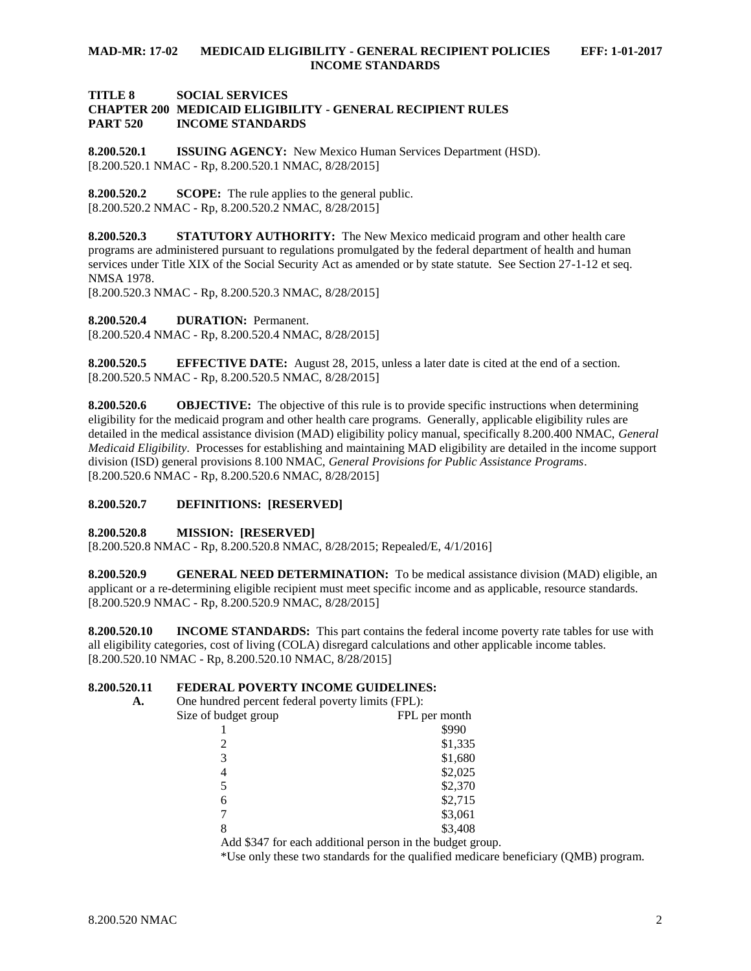## **TITLE 8 SOCIAL SERVICES CHAPTER 200 MEDICAID ELIGIBILITY - GENERAL RECIPIENT RULES PART 520 INCOME STANDARDS**

<span id="page-1-0"></span>**8.200.520.1 ISSUING AGENCY:** New Mexico Human Services Department (HSD). [8.200.520.1 NMAC - Rp, 8.200.520.1 NMAC, 8/28/2015]

<span id="page-1-1"></span>**8.200.520.2 SCOPE:** The rule applies to the general public. [8.200.520.2 NMAC - Rp, 8.200.520.2 NMAC, 8/28/2015]

<span id="page-1-2"></span>**8.200.520.3 STATUTORY AUTHORITY:** The New Mexico medicaid program and other health care programs are administered pursuant to regulations promulgated by the federal department of health and human services under Title XIX of the Social Security Act as amended or by state statute. See Section 27-1-12 et seq. NMSA 1978.

[8.200.520.3 NMAC - Rp, 8.200.520.3 NMAC, 8/28/2015]

<span id="page-1-3"></span>**8.200.520.4 DURATION:** Permanent.

[8.200.520.4 NMAC - Rp, 8.200.520.4 NMAC, 8/28/2015]

<span id="page-1-4"></span>**8.200.520.5 EFFECTIVE DATE:** August 28, 2015, unless a later date is cited at the end of a section. [8.200.520.5 NMAC - Rp, 8.200.520.5 NMAC, 8/28/2015]

<span id="page-1-5"></span>**8.200.520.6 OBJECTIVE:** The objective of this rule is to provide specific instructions when determining eligibility for the medicaid program and other health care programs. Generally, applicable eligibility rules are detailed in the medical assistance division (MAD) eligibility policy manual, specifically 8.200.400 NMAC, *General Medicaid Eligibility*. Processes for establishing and maintaining MAD eligibility are detailed in the income support division (ISD) general provisions 8.100 NMAC, *General Provisions for Public Assistance Programs*. [8.200.520.6 NMAC - Rp, 8.200.520.6 NMAC, 8/28/2015]

#### <span id="page-1-6"></span>**8.200.520.7 DEFINITIONS: [RESERVED]**

#### <span id="page-1-7"></span>**8.200.520.8 MISSION: [RESERVED]**

[8.200.520.8 NMAC - Rp, 8.200.520.8 NMAC, 8/28/2015; Repealed/E, 4/1/2016]

<span id="page-1-8"></span>**8.200.520.9 GENERAL NEED DETERMINATION:** To be medical assistance division (MAD) eligible, an applicant or a re-determining eligible recipient must meet specific income and as applicable, resource standards. [8.200.520.9 NMAC - Rp, 8.200.520.9 NMAC, 8/28/2015]

<span id="page-1-9"></span>**8.200.520.10 INCOME STANDARDS:** This part contains the federal income poverty rate tables for use with all eligibility categories, cost of living (COLA) disregard calculations and other applicable income tables. [8.200.520.10 NMAC - Rp, 8.200.520.10 NMAC, 8/28/2015]

#### <span id="page-1-10"></span>**8.200.520.11 FEDERAL POVERTY INCOME GUIDELINES:**

| А. | One hundred percent federal poverty limits (FPL): |                                                           |
|----|---------------------------------------------------|-----------------------------------------------------------|
|    | Size of budget group                              | FPL per month                                             |
|    |                                                   | \$990                                                     |
|    |                                                   | \$1,335                                                   |
|    | 3                                                 | \$1,680                                                   |
|    | 4                                                 | \$2,025                                                   |
|    | 5                                                 | \$2,370                                                   |
|    | 6                                                 | \$2,715                                                   |
|    |                                                   | \$3,061                                                   |
|    | 8                                                 | \$3,408                                                   |
|    |                                                   | Add \$347 for each additional person in the budget group. |
|    |                                                   |                                                           |

\*Use only these two standards for the qualified medicare beneficiary (QMB) program.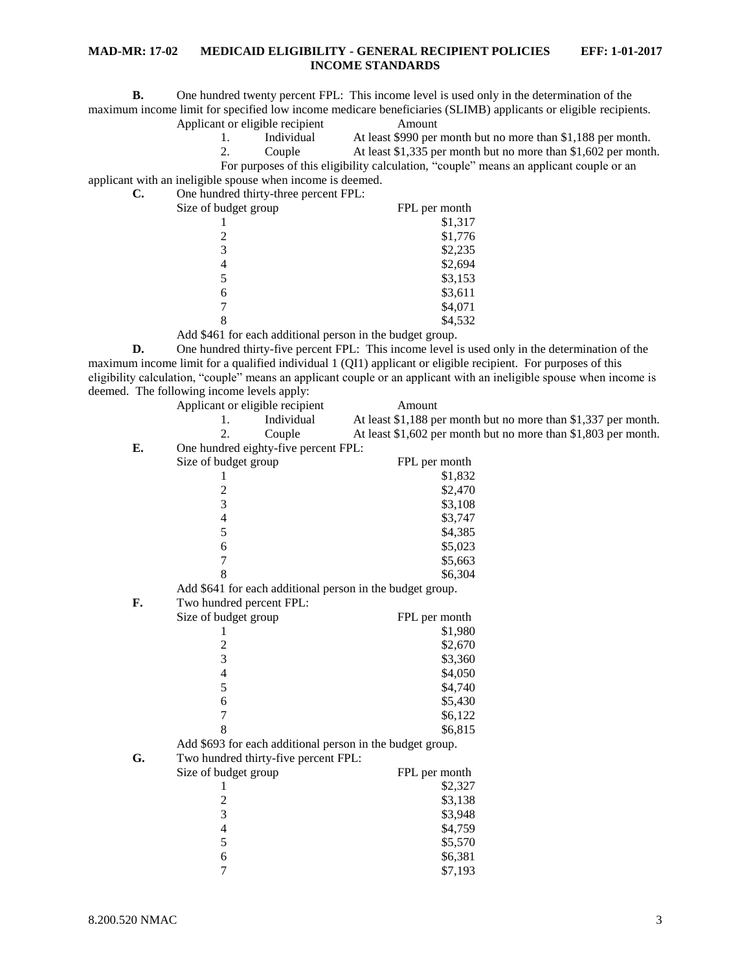**B.** One hundred twenty percent FPL: This income level is used only in the determination of the maximum income limit for specified low income medicare beneficiaries (SLIMB) applicants or eligible recipients.

Applicant or eligible recipient Amount

- 1. Individual At least \$990 per month but no more than \$1,188 per month.
	-

2. Couple At least \$1,335 per month but no more than \$1,602 per month.

applicant with an ineligible spouse when income is deemed.

**C.** One hundred thirty-three percent FPL:

| Size of budget group | FPL per month |
|----------------------|---------------|
|                      | \$1,317       |
| 2                    | \$1,776       |
| 3                    | \$2,235       |
| 4                    | \$2,694       |
|                      | \$3,153       |
| 6                    | \$3,611       |
|                      | \$4,071       |
|                      | \$4,532       |
|                      |               |

Add \$461 for each additional person in the budget group.

**D.** One hundred thirty-five percent FPL: This income level is used only in the determination of the maximum income limit for a qualified individual 1 (QI1) applicant or eligible recipient. For purposes of this eligibility calculation, "couple" means an applicant couple or an applicant with an ineligible spouse when income is deemed. The following income levels apply:

|    | Applicant or eligible recipient                           | Amount                                                         |
|----|-----------------------------------------------------------|----------------------------------------------------------------|
|    | Individual<br>1.                                          | At least \$1,188 per month but no more than \$1,337 per month. |
|    | 2.<br>Couple                                              | At least \$1,602 per month but no more than \$1,803 per month. |
| E. | One hundred eighty-five percent FPL:                      |                                                                |
|    | Size of budget group                                      | FPL per month                                                  |
|    | 1                                                         | \$1,832                                                        |
|    |                                                           | \$2,470                                                        |
|    | $\frac{2}{3}$                                             | \$3,108                                                        |
|    | $\overline{\mathcal{L}}$                                  | \$3,747                                                        |
|    | 5                                                         | \$4,385                                                        |
|    | 6                                                         | \$5,023                                                        |
|    | $\overline{7}$                                            | \$5,663                                                        |
|    | 8                                                         | \$6,304                                                        |
|    | Add \$641 for each additional person in the budget group. |                                                                |
| F. | Two hundred percent FPL:                                  |                                                                |
|    | Size of budget group                                      | FPL per month                                                  |
|    | 1                                                         | \$1,980                                                        |
|    | $\overline{\mathbf{c}}$                                   | \$2,670                                                        |
|    | 3                                                         | \$3,360                                                        |
|    | $\overline{\mathcal{L}}$                                  | \$4,050                                                        |
|    | 5                                                         | \$4,740                                                        |
|    | 6                                                         | \$5,430                                                        |
|    | $\overline{7}$                                            | \$6,122                                                        |
|    | 8                                                         | \$6,815                                                        |
|    | Add \$693 for each additional person in the budget group. |                                                                |
| G. | Two hundred thirty-five percent FPL:                      |                                                                |
|    | Size of budget group                                      | FPL per month                                                  |
|    |                                                           | \$2,327                                                        |
|    | $\overline{\mathbf{c}}$                                   | \$3,138                                                        |
|    | 3                                                         | \$3,948                                                        |
|    | $\overline{4}$                                            | \$4,759                                                        |
|    | 5                                                         | \$5,570                                                        |
|    | 6                                                         | \$6,381                                                        |
|    | $\overline{7}$                                            | \$7,193                                                        |

8.200.520 NMAC 3

For purposes of this eligibility calculation, "couple" means an applicant couple or an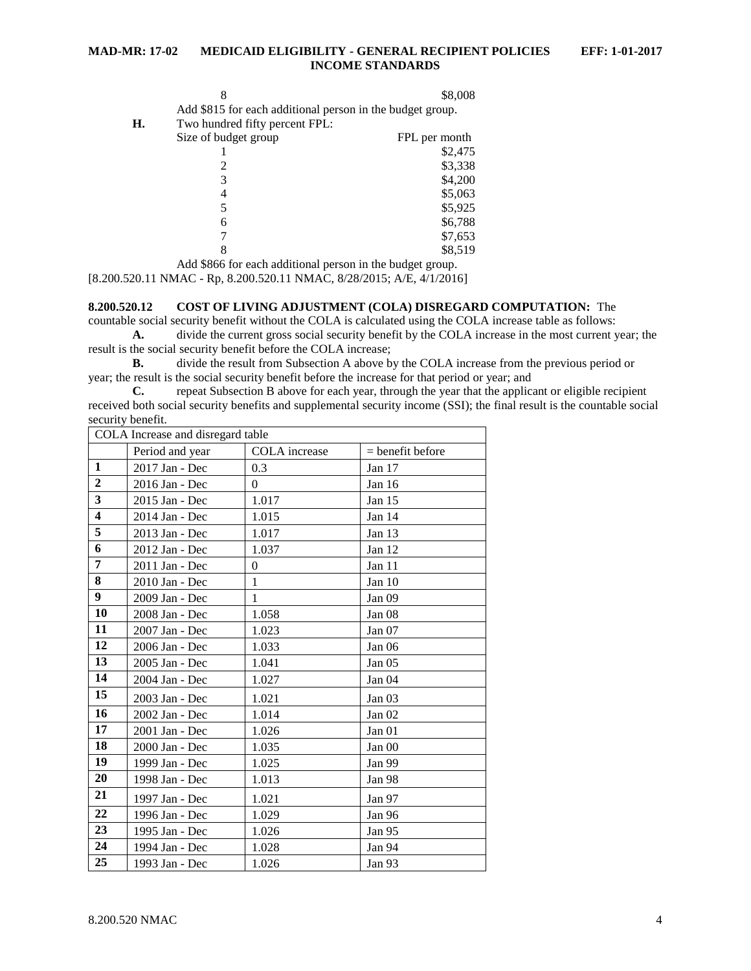|    |                                                           | \$8,008       |
|----|-----------------------------------------------------------|---------------|
|    | Add \$815 for each additional person in the budget group. |               |
| Н. | Two hundred fifty percent FPL:                            |               |
|    | Size of budget group                                      | FPL per month |
|    |                                                           | \$2,475       |
|    |                                                           | \$3,338       |
|    | 3                                                         | \$4,200       |
|    | 4                                                         | \$5,063       |
|    |                                                           | \$5,925       |
|    | 6                                                         | \$6,788       |
|    |                                                           | \$7,653       |
|    | 8                                                         | \$8,519       |

Add \$866 for each additional person in the budget group.

[8.200.520.11 NMAC - Rp, 8.200.520.11 NMAC, 8/28/2015; A/E, 4/1/2016]

## <span id="page-3-0"></span>**8.200.520.12 COST OF LIVING ADJUSTMENT (COLA) DISREGARD COMPUTATION:** The

countable social security benefit without the COLA is calculated using the COLA increase table as follows: **A.** divide the current gross social security benefit by the COLA increase in the most current year; the

result is the social security benefit before the COLA increase;

**B.** divide the result from Subsection A above by the COLA increase from the previous period or year; the result is the social security benefit before the increase for that period or year; and

**C.** repeat Subsection B above for each year, through the year that the applicant or eligible recipient received both social security benefits and supplemental security income (SSI); the final result is the countable social security benefit.

|                         |                 | COLA Increase and disregard table |                    |  |  |
|-------------------------|-----------------|-----------------------------------|--------------------|--|--|
|                         | Period and year | COLA increase                     | $=$ benefit before |  |  |
| 1                       | 2017 Jan - Dec  | 0.3                               | Jan 17             |  |  |
| $\overline{2}$          | 2016 Jan - Dec  | $\theta$                          | Jan $16$           |  |  |
| 3                       | 2015 Jan - Dec  | 1.017                             | Jan $15$           |  |  |
| $\overline{\mathbf{4}}$ | 2014 Jan - Dec  | 1.015                             | Jan 14             |  |  |
| $\overline{5}$          | 2013 Jan - Dec  | 1.017                             | Jan 13             |  |  |
| 6                       | 2012 Jan - Dec  | 1.037                             | Jan $12$           |  |  |
| 7                       | 2011 Jan - Dec  | $\theta$                          | Jan 11             |  |  |
| 8                       | 2010 Jan - Dec  | 1                                 | Jan 10             |  |  |
| 9 <sup>1</sup>          | 2009 Jan - Dec  | 1                                 | Jan 09             |  |  |
| 10                      | 2008 Jan - Dec  | 1.058                             | Jan <sub>08</sub>  |  |  |
| 11                      | 2007 Jan - Dec  | 1.023                             | Jan 07             |  |  |
| 12                      | 2006 Jan - Dec  | 1.033                             | Jan 06             |  |  |
| 13                      | 2005 Jan - Dec  | 1.041                             | Jan <sub>05</sub>  |  |  |
| 14                      | 2004 Jan - Dec  | 1.027                             | Jan <sub>04</sub>  |  |  |
| 15                      | 2003 Jan - Dec  | 1.021                             | Jan <sub>03</sub>  |  |  |
| 16                      | 2002 Jan - Dec  | 1.014                             | Jan 02             |  |  |
| 17                      | 2001 Jan - Dec  | 1.026                             | Jan 01             |  |  |
| 18                      | 2000 Jan - Dec  | 1.035                             | Jan 00             |  |  |
| 19                      | 1999 Jan - Dec  | 1.025                             | Jan 99             |  |  |
| 20                      | 1998 Jan - Dec  | 1.013                             | Jan 98             |  |  |
| 21                      | 1997 Jan - Dec  | 1.021                             | Jan 97             |  |  |
| 22                      | 1996 Jan - Dec  | 1.029                             | Jan 96             |  |  |
| 23                      | 1995 Jan - Dec  | 1.026                             | Jan 95             |  |  |
| 24                      | 1994 Jan - Dec  | 1.028                             | Jan 94             |  |  |
| 25                      | 1993 Jan - Dec  | 1.026                             | Jan 93             |  |  |
|                         |                 |                                   |                    |  |  |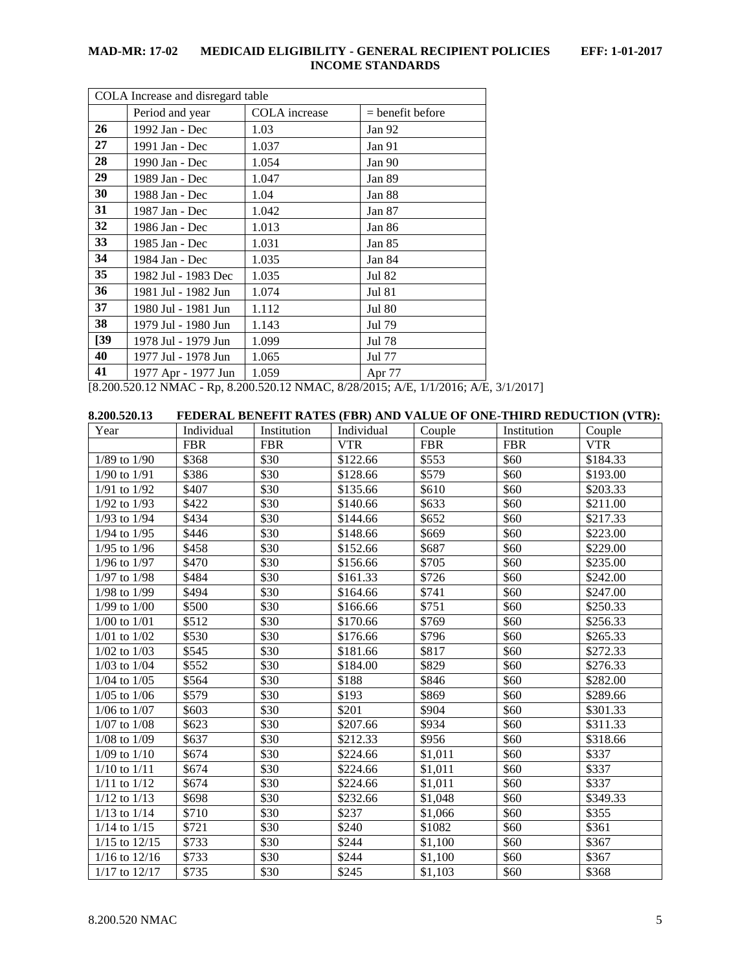| COLA Increase and disregard table |                     |                                              |                                                                                                                                                                                                                                                                                                                                                                                                |
|-----------------------------------|---------------------|----------------------------------------------|------------------------------------------------------------------------------------------------------------------------------------------------------------------------------------------------------------------------------------------------------------------------------------------------------------------------------------------------------------------------------------------------|
|                                   | Period and year     | COLA increase                                | $=$ benefit before                                                                                                                                                                                                                                                                                                                                                                             |
| 26                                | 1992 Jan - Dec      | 1.03                                         | Jan 92                                                                                                                                                                                                                                                                                                                                                                                         |
| 27                                | 1991 Jan - Dec      | 1.037                                        | Jan 91                                                                                                                                                                                                                                                                                                                                                                                         |
| 28                                | 1990 Jan - Dec      | 1.054                                        | Jan $90$                                                                                                                                                                                                                                                                                                                                                                                       |
| 29                                | 1989 Jan - Dec      | 1.047                                        | Jan 89                                                                                                                                                                                                                                                                                                                                                                                         |
| 30                                | 1988 Jan - Dec      | 1.04                                         | Jan 88                                                                                                                                                                                                                                                                                                                                                                                         |
| 31                                | 1987 Jan - Dec      | 1.042                                        | Jan 87                                                                                                                                                                                                                                                                                                                                                                                         |
| 32                                | 1986 Jan - Dec      | 1.013                                        | Jan 86                                                                                                                                                                                                                                                                                                                                                                                         |
| 33                                | 1985 Jan - Dec      | 1.031                                        | Jan 85                                                                                                                                                                                                                                                                                                                                                                                         |
| 34                                | 1984 Jan - Dec      | 1.035                                        | Jan 84                                                                                                                                                                                                                                                                                                                                                                                         |
| 35                                | 1982 Jul - 1983 Dec | 1.035                                        | Jul 82                                                                                                                                                                                                                                                                                                                                                                                         |
| 36                                | 1981 Jul - 1982 Jun | 1.074                                        | <b>Jul 81</b>                                                                                                                                                                                                                                                                                                                                                                                  |
| 37                                | 1980 Jul - 1981 Jun | 1.112                                        | <b>Jul 80</b>                                                                                                                                                                                                                                                                                                                                                                                  |
| 38                                | 1979 Jul - 1980 Jun | 1.143                                        | Jul 79                                                                                                                                                                                                                                                                                                                                                                                         |
| $[39]$                            | 1978 Jul - 1979 Jun | 1.099                                        | Jul 78                                                                                                                                                                                                                                                                                                                                                                                         |
| 40                                | 1977 Jul - 1978 Jun | 1.065                                        | Jul 77                                                                                                                                                                                                                                                                                                                                                                                         |
| 41                                | 1977 Apr - 1977 Jun | 1.059<br>$0.200$ Faculture $\sim$ 0.20020015 | Apr 77<br>$\overline{a}$ $\overline{b}$ $\overline{c}$ $\overline{c}$ $\overline{c}$ $\overline{c}$ $\overline{c}$ $\overline{c}$ $\overline{c}$ $\overline{c}$ $\overline{c}$ $\overline{c}$ $\overline{c}$ $\overline{c}$ $\overline{c}$ $\overline{c}$ $\overline{c}$ $\overline{c}$ $\overline{c}$ $\overline{c}$ $\overline{c}$ $\overline{c}$ $\overline{c}$ $\overline{c}$ $\overline{$ |

[8.200.520.12 NMAC - Rp, 8.200.520.12 NMAC, 8/28/2015; A/E, 1/1/2016; A/E, 3/1/2017]

<span id="page-4-0"></span>

| 8.200.520.13      |            |             |            |               |             | FEDERAL BENEFIT RATES (FBR) AND VALUE OF ONE-THIRD REDUCTION (VTR): |
|-------------------|------------|-------------|------------|---------------|-------------|---------------------------------------------------------------------|
| Year              | Individual | Institution | Individual | Couple        | Institution | Couple                                                              |
|                   | <b>FBR</b> | <b>FBR</b>  | <b>VTR</b> | <b>FBR</b>    | <b>FBR</b>  | <b>VTR</b>                                                          |
| $1/89$ to $1/90$  | \$368      | \$30        | \$122.66   | \$553         | \$60        | \$184.33                                                            |
| $1/90$ to $1/91$  | \$386      | \$30        | \$128.66   | \$579         | \$60        | \$193.00                                                            |
| $1/91$ to $1/92$  | \$407      | \$30        | \$135.66   | \$610         | \$60        | \$203.33                                                            |
| $1/92$ to $1/93$  | \$422      | \$30        | \$140.66   | \$633         | \$60        | \$211.00                                                            |
| $1/93$ to $1/94$  | \$434      | \$30        | \$144.66   | \$652         | \$60        | \$217.33                                                            |
| $1/94$ to $1/95$  | \$446      | \$30        | \$148.66   | \$669         | \$60        | \$223.00                                                            |
| $1/95$ to $1/96$  | \$458      | \$30        | \$152.66   | \$687         | \$60        | \$229.00                                                            |
| $1/96$ to $1/97$  | \$470      | \$30        | \$156.66   | \$705         | \$60        | \$235.00                                                            |
| $1/97$ to $1/98$  | \$484      | \$30        | \$161.33   | \$726         | \$60        | \$242.00                                                            |
| 1/98 to 1/99      | \$494      | \$30        | \$164.66   | $\sqrt{$741}$ | \$60        | \$247.00                                                            |
| $1/99$ to $1/00$  | \$500      | \$30        | \$166.66   | \$751         | \$60        | \$250.33                                                            |
| $1/00$ to $1/01$  | \$512      | \$30        | \$170.66   | \$769         | \$60        | \$256.33                                                            |
| $1/01$ to $1/02$  | \$530      | \$30        | \$176.66   | \$796         | \$60        | \$265.33                                                            |
| $1/02$ to $1/03$  | \$545      | \$30        | \$181.66   | \$817         | \$60        | \$272.33                                                            |
| $1/03$ to $1/04$  | \$552      | \$30        | \$184.00   | \$829         | \$60        | \$276.33                                                            |
| $1/04$ to $1/05$  | \$564      | \$30        | \$188      | \$846         | \$60        | \$282.00                                                            |
| $1/05$ to $1/06$  | \$579      | \$30        | \$193      | \$869         | \$60        | \$289.66                                                            |
| $1/06$ to $1/07$  | \$603      | \$30        | \$201      | \$904         | \$60        | \$301.33                                                            |
| $1/07$ to $1/08$  | \$623      | \$30        | \$207.66   | \$934         | \$60        | \$311.33                                                            |
| $1/08$ to $1/09$  | \$637      | \$30        | \$212.33   | \$956         | \$60        | \$318.66                                                            |
| $1/09$ to $1/10$  | \$674      | \$30        | \$224.66   | \$1,011       | \$60        | \$337                                                               |
| $1/10$ to $1/11$  | \$674      | \$30        | \$224.66   | \$1,011       | \$60        | \$337                                                               |
| $1/11$ to $1/12$  | \$674      | \$30        | \$224.66   | \$1,011       | \$60        | \$337                                                               |
| $1/12$ to $1/13$  | \$698      | \$30        | \$232.66   | \$1,048       | \$60        | \$349.33                                                            |
| $1/13$ to $1/14$  | \$710      | \$30        | \$237      | \$1,066       | \$60        | \$355                                                               |
| $1/14$ to $1/15$  | \$721      | \$30        | \$240      | \$1082        | \$60        | \$361                                                               |
| $1/15$ to $12/15$ | \$733      | \$30        | \$244      | \$1,100       | \$60        | \$367                                                               |
| $1/16$ to $12/16$ | \$733      | \$30        | \$244      | \$1,100       | \$60        | \$367                                                               |
| $1/17$ to $12/17$ | \$735      | \$30        | \$245      | \$1,103       | \$60        | \$368                                                               |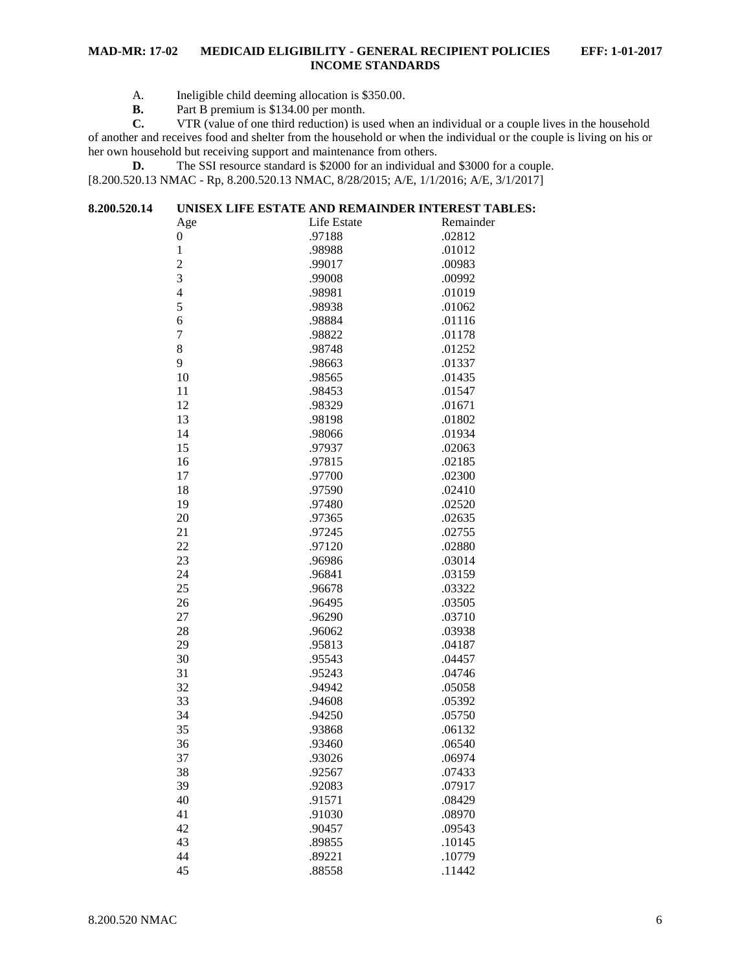- A. Ineligible child deeming allocation is \$350.00.<br>**B.** Part B premium is \$134.00 per month.
- **B.** Part B premium is \$134.00 per month.<br>**C.** VTR (value of one third reduction) is u

**C.** VTR (value of one third reduction) is used when an individual or a couple lives in the household of another and receives food and shelter from the household or when the individual or the couple is living on his or her own household but receiving support and maintenance from others.

**D.** The SSI resource standard is \$2000 for an individual and \$3000 for a couple. [8.200.520.13 NMAC - Rp, 8.200.520.13 NMAC, 8/28/2015; A/E, 1/1/2016; A/E, 3/1/2017]

<span id="page-5-0"></span>

| 8.200.520.14 |                  | UNISEX LIFE ESTATE AND REMAINDER INTEREST TABLES: |           |
|--------------|------------------|---------------------------------------------------|-----------|
|              | Age              | Life Estate                                       | Remainder |
|              | $\boldsymbol{0}$ | .97188                                            | .02812    |
|              | $\mathbf{1}$     | .98988                                            | .01012    |
|              | $\overline{2}$   | .99017                                            | .00983    |
|              | 3                | .99008                                            | .00992    |
|              | $\overline{4}$   | .98981                                            | .01019    |
|              | 5                | .98938                                            | .01062    |
|              | 6                | .98884                                            | .01116    |
|              | $\tau$           | .98822                                            | .01178    |
|              | 8                | .98748                                            | .01252    |
|              | 9                | .98663                                            | .01337    |
|              | 10               | .98565                                            | .01435    |
|              | 11               | .98453                                            | .01547    |
|              | 12               | .98329                                            | .01671    |
|              | 13               | .98198                                            | .01802    |
|              | 14               | .98066                                            | .01934    |
|              | 15               | .97937                                            | .02063    |
|              | 16               | .97815                                            | .02185    |
|              | 17               | .97700                                            | .02300    |
|              | 18               | .97590                                            | .02410    |
|              | 19               | .97480                                            | .02520    |
|              | 20               | .97365                                            | .02635    |
|              | 21               | .97245                                            | .02755    |
|              | 22               | .97120                                            | .02880    |
|              | 23               | .96986                                            | .03014    |
|              | 24               | .96841                                            | .03159    |
|              | 25               | .96678                                            | .03322    |
|              | 26               | .96495                                            | .03505    |
|              | 27               | .96290                                            | .03710    |
|              | 28               | .96062                                            | .03938    |
|              | 29               | .95813                                            | .04187    |
|              | 30               | .95543                                            | .04457    |
|              | 31               | .95243                                            | .04746    |
|              | 32               | .94942                                            | .05058    |
|              | 33               | .94608                                            | .05392    |
|              | 34               | .94250                                            | .05750    |
|              | 35               | .93868                                            | .06132    |
|              | 36               | .93460                                            | .06540    |
|              | 37               | .93026                                            | .06974    |
|              | 38               | .92567                                            | .07433    |
|              | 39               | .92083                                            | .07917    |
|              | 40               | .91571                                            | .08429    |
|              | 41               | .91030                                            | .08970    |
|              | 42               | .90457                                            | .09543    |
|              | 43               | .89855                                            | .10145    |
|              | 44               | .89221                                            | .10779    |
|              | 45               | .88558                                            | .11442    |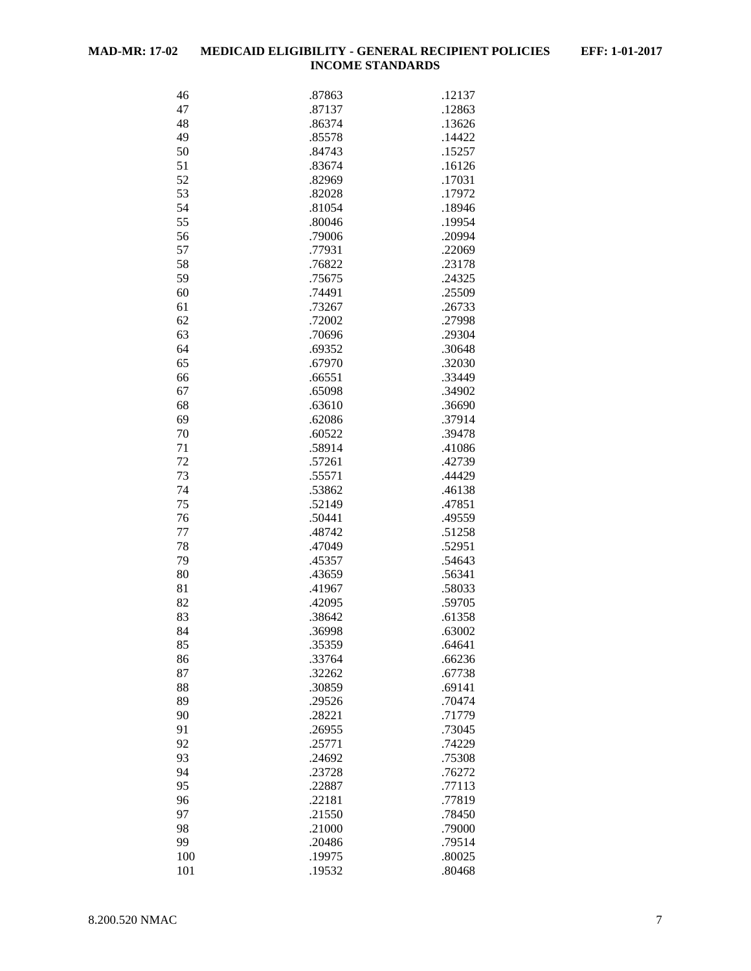| 46  | .87863 | .12137 |
|-----|--------|--------|
| 47  | .87137 | .12863 |
| 48  | .86374 | .13626 |
| 49  | .85578 | .14422 |
| 50  | .84743 | .15257 |
| 51  | .83674 | .16126 |
| 52  | .82969 | .17031 |
|     |        |        |
| 53  | .82028 | .17972 |
| 54  | .81054 | .18946 |
| 55  | .80046 | .19954 |
| 56  | .79006 | .20994 |
| 57  | .77931 | .22069 |
| 58  | .76822 | .23178 |
| 59  | .75675 | .24325 |
| 60  | .74491 | .25509 |
| 61  | .73267 | .26733 |
| 62  | .72002 | .27998 |
| 63  | .70696 | .29304 |
| 64  | .69352 | .30648 |
| 65  | .67970 | .32030 |
| 66  | .66551 | .33449 |
| 67  | .65098 | .34902 |
| 68  | .63610 | .36690 |
| 69  | .62086 | .37914 |
| 70  | .60522 | .39478 |
| 71  |        |        |
| 72  | .58914 | .41086 |
|     | .57261 | .42739 |
| 73  | .55571 | .44429 |
| 74  | .53862 | .46138 |
| 75  | .52149 | .47851 |
| 76  | .50441 | .49559 |
| 77  | .48742 | .51258 |
| 78  | .47049 | .52951 |
| 79  | .45357 | .54643 |
| 80  | .43659 | .56341 |
| 81  | .41967 | .58033 |
| 82  | .42095 | .59705 |
| 83  | .38642 | .61358 |
| 84  | 36998  | .63002 |
| 85  | .35359 | .64641 |
| 86  | .33764 | .66236 |
| 87  | .32262 | .67738 |
| 88  | .30859 | .69141 |
| 89  | .29526 | .70474 |
| 90  | .28221 | .71779 |
| 91  | .26955 | .73045 |
|     |        |        |
| 92  | .25771 | .74229 |
| 93  | .24692 | .75308 |
| 94  | .23728 | .76272 |
| 95  | .22887 | .77113 |
| 96  | .22181 | .77819 |
| 97  | .21550 | .78450 |
| 98  | .21000 | .79000 |
| 99  | .20486 | .79514 |
| 100 | .19975 | .80025 |
| 101 | .19532 | .80468 |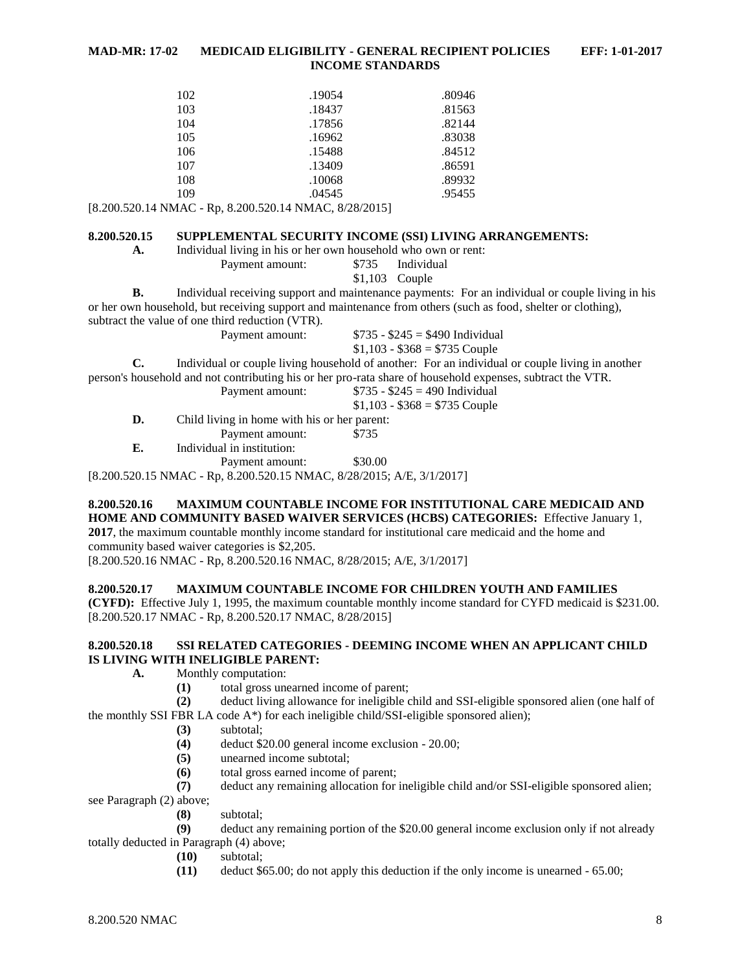| 102 | .19054 | .80946 |
|-----|--------|--------|
| 103 | .18437 | .81563 |
| 104 | .17856 | .82144 |
| 105 | .16962 | .83038 |
| 106 | .15488 | .84512 |
| 107 | .13409 | .86591 |
| 108 | .10068 | .89932 |
| 109 | .04545 | .95455 |

[8.200.520.14 NMAC - Rp, 8.200.520.14 NMAC, 8/28/2015]

#### <span id="page-7-0"></span>**8.200.520.15 SUPPLEMENTAL SECURITY INCOME (SSI) LIVING ARRANGEMENTS:**

**A.** Individual living in his or her own household who own or rent:

Payment amount: \$735 Individual \$1,103 Couple

**B.** Individual receiving support and maintenance payments: For an individual or couple living in his or her own household, but receiving support and maintenance from others (such as food, shelter or clothing), subtract the value of one third reduction (VTR).

Payment amount:  $$735 - $245 = $490$  Individual

 $$1,103 - $368 = $735$  Couple

**C.** Individual or couple living household of another: For an individual or couple living in another

person's household and not contributing his or her pro-rata share of household expenses, subtract the VTR.

|    | Payment amount:                              | $$735 - $245 = 490$ Individual |
|----|----------------------------------------------|--------------------------------|
|    |                                              | $$1,103 - $368 = $735$ Couple  |
| D. | Child living in home with his or her parent: |                                |
|    | Payment amount:                              | \$735                          |
| E. | Individual in institution:                   |                                |
|    | Payment amount:                              | \$30.00                        |

[8.200.520.15 NMAC - Rp, 8.200.520.15 NMAC, 8/28/2015; A/E, 3/1/2017]

#### <span id="page-7-1"></span>**8.200.520.16 MAXIMUM COUNTABLE INCOME FOR INSTITUTIONAL CARE MEDICAID AND HOME AND COMMUNITY BASED WAIVER SERVICES (HCBS) CATEGORIES:** Effective January 1, **2017**, the maximum countable monthly income standard for institutional care medicaid and the home and

community based waiver categories is \$2,205.

[8.200.520.16 NMAC - Rp, 8.200.520.16 NMAC, 8/28/2015; A/E, 3/1/2017]

#### <span id="page-7-2"></span>**8.200.520.17 MAXIMUM COUNTABLE INCOME FOR CHILDREN YOUTH AND FAMILIES**

**(CYFD):** Effective July 1, 1995, the maximum countable monthly income standard for CYFD medicaid is \$231.00. [8.200.520.17 NMAC - Rp, 8.200.520.17 NMAC, 8/28/2015]

#### <span id="page-7-3"></span>**8.200.520.18 SSI RELATED CATEGORIES - DEEMING INCOME WHEN AN APPLICANT CHILD IS LIVING WITH INELIGIBLE PARENT:**

- **A.** Monthly computation:
	- **(1)** total gross unearned income of parent;
- **(2)** deduct living allowance for ineligible child and SSI-eligible sponsored alien (one half of the monthly SSI FBR LA code  $A^*$ ) for each ineligible child/SSI-eligible sponsored alien);
	- **(3)** subtotal;
	- **(4)** deduct \$20.00 general income exclusion 20.00;
	- **(5)** unearned income subtotal;
	- **(6)** total gross earned income of parent;
	- **(7)** deduct any remaining allocation for ineligible child and/or SSI-eligible sponsored alien;

see Paragraph (2) above;

**(8)** subtotal;

**(9)** deduct any remaining portion of the \$20.00 general income exclusion only if not already totally deducted in Paragraph (4) above;

- **(10)** subtotal;
- **(11)** deduct \$65.00; do not apply this deduction if the only income is unearned 65.00;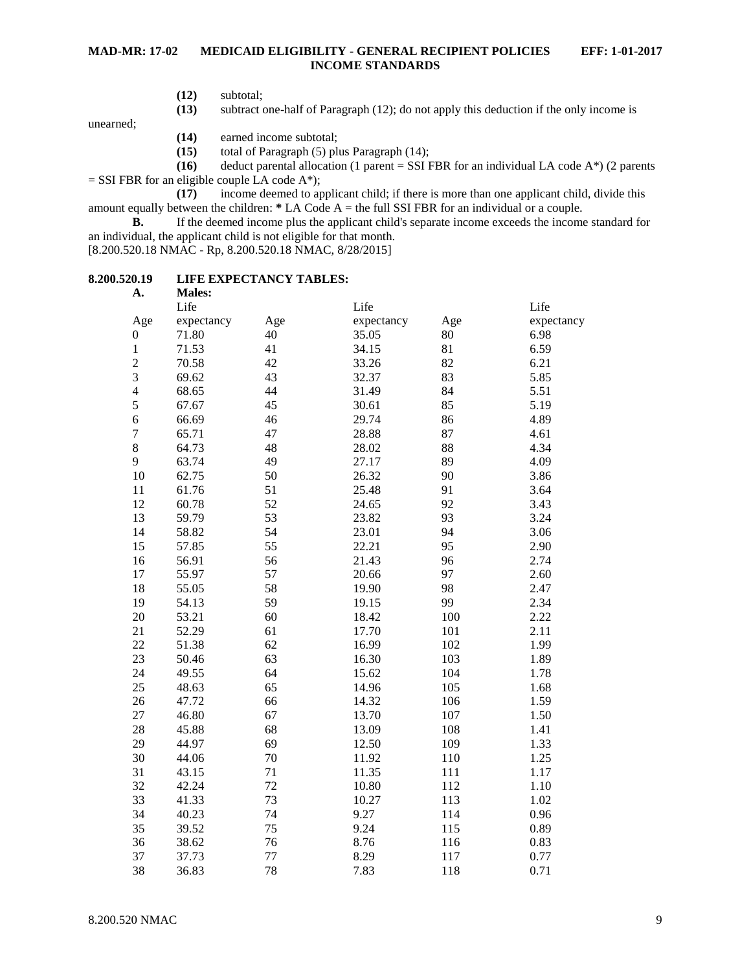- **(12)** subtotal;
- **(13)** subtract one-half of Paragraph (12); do not apply this deduction if the only income is

unearned;

- **(14)** earned income subtotal;
- **(15)** total of Paragraph (5) plus Paragraph (14);
- **(16)** deduct parental allocation (1 parent = SSI FBR for an individual LA code A\*) (2 parents
- $=$  SSI FBR for an eligible couple LA code A\*);

**(17)** income deemed to applicant child; if there is more than one applicant child, divide this amount equally between the children: **\*** LA Code A = the full SSI FBR for an individual or a couple.

**B.** If the deemed income plus the applicant child's separate income exceeds the income standard for an individual, the applicant child is not eligible for that month.

[8.200.520.18 NMAC - Rp, 8.200.520.18 NMAC, 8/28/2015]

#### <span id="page-8-0"></span>**8.200.520.19 LIFE EXPECTANCY TABLES: A. Males:**

| д.               | <b>NIAICS.</b> |     |            |     |            |
|------------------|----------------|-----|------------|-----|------------|
|                  | Life           |     | Life       |     | Life       |
| Age              | expectancy     | Age | expectancy | Age | expectancy |
| $\boldsymbol{0}$ | 71.80          | 40  | 35.05      | 80  | 6.98       |
| $\,1$            | 71.53          | 41  | 34.15      | 81  | 6.59       |
| $\overline{c}$   | 70.58          | 42  | 33.26      | 82  | 6.21       |
| 3                | 69.62          | 43  | 32.37      | 83  | 5.85       |
| $\overline{4}$   | 68.65          | 44  | 31.49      | 84  | 5.51       |
| 5                | 67.67          | 45  | 30.61      | 85  | 5.19       |
| $\overline{6}$   | 66.69          | 46  | 29.74      | 86  | 4.89       |
| $\sqrt{ }$       | 65.71          | 47  | 28.88      | 87  | 4.61       |
| 8                | 64.73          | 48  | 28.02      | 88  | 4.34       |
| 9                | 63.74          | 49  | 27.17      | 89  | 4.09       |
| 10               | 62.75          | 50  | 26.32      | 90  | 3.86       |
| 11               | 61.76          | 51  | 25.48      | 91  | 3.64       |
| 12               | 60.78          | 52  | 24.65      | 92  | 3.43       |
| 13               | 59.79          | 53  | 23.82      | 93  | 3.24       |
| 14               | 58.82          | 54  | 23.01      | 94  | 3.06       |
| 15               | 57.85          | 55  | 22.21      | 95  | 2.90       |
| 16               | 56.91          | 56  | 21.43      | 96  | 2.74       |
| 17               | 55.97          | 57  | 20.66      | 97  | 2.60       |
| 18               | 55.05          | 58  | 19.90      | 98  | 2.47       |
| 19               | 54.13          | 59  | 19.15      | 99  | 2.34       |
| 20               | 53.21          | 60  | 18.42      | 100 | 2.22       |
| 21               | 52.29          | 61  | 17.70      | 101 | 2.11       |
| 22               | 51.38          | 62  | 16.99      | 102 | 1.99       |
| 23               | 50.46          | 63  | 16.30      | 103 | 1.89       |
| 24               | 49.55          | 64  | 15.62      | 104 | 1.78       |
| 25               | 48.63          | 65  | 14.96      | 105 | 1.68       |
| 26               | 47.72          | 66  | 14.32      | 106 | 1.59       |
| 27               | 46.80          | 67  | 13.70      | 107 | 1.50       |
| 28               | 45.88          | 68  | 13.09      | 108 | 1.41       |
| 29               | 44.97          | 69  | 12.50      | 109 | 1.33       |
| 30               | 44.06          | 70  | 11.92      | 110 | 1.25       |
| 31               | 43.15          | 71  | 11.35      | 111 | 1.17       |
| 32               | 42.24          | 72  | 10.80      | 112 | 1.10       |
| 33               | 41.33          | 73  | 10.27      | 113 | 1.02       |
| 34               | 40.23          | 74  | 9.27       | 114 | 0.96       |
| 35               | 39.52          | 75  | 9.24       | 115 | 0.89       |
| 36               | 38.62          | 76  | 8.76       | 116 | 0.83       |
| 37               | 37.73          | 77  | 8.29       | 117 | 0.77       |
| 38               | 36.83          | 78  | 7.83       | 118 | 0.71       |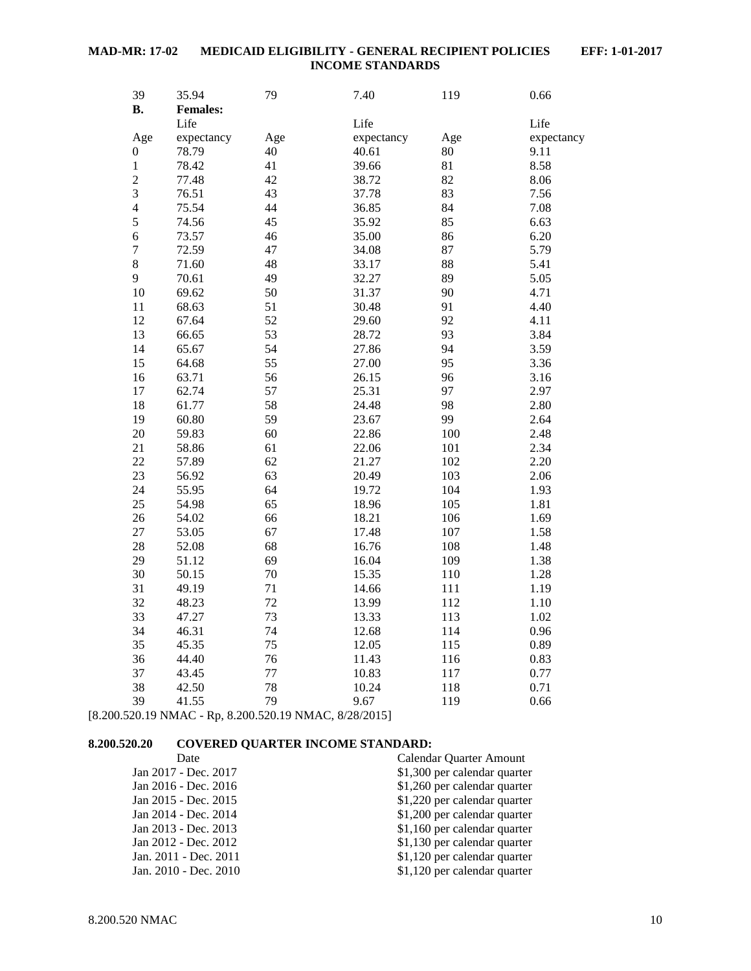| 39<br><b>B.</b>  | 35.94<br><b>Females:</b> | 79  | 7.40       | 119 | 0.66       |
|------------------|--------------------------|-----|------------|-----|------------|
|                  | Life                     |     | Life       |     | Life       |
| Age              | expectancy               | Age | expectancy | Age | expectancy |
| $\boldsymbol{0}$ | 78.79                    | 40  | 40.61      | 80  | 9.11       |
| $\mathbf{1}$     | 78.42                    | 41  | 39.66      | 81  | 8.58       |
| $\overline{c}$   | 77.48                    | 42  | 38.72      | 82  | 8.06       |
| $\overline{3}$   | 76.51                    | 43  | 37.78      | 83  | 7.56       |
| $\overline{4}$   | 75.54                    | 44  | 36.85      | 84  | 7.08       |
| 5                | 74.56                    | 45  | 35.92      | 85  | 6.63       |
| $\overline{6}$   | 73.57                    | 46  | 35.00      | 86  | 6.20       |
| $\overline{7}$   | 72.59                    | 47  | 34.08      | 87  | 5.79       |
| 8                | 71.60                    | 48  | 33.17      | 88  | 5.41       |
| 9                | 70.61                    | 49  | 32.27      | 89  | 5.05       |
| 10               | 69.62                    | 50  | 31.37      | 90  | 4.71       |
| 11               | 68.63                    | 51  | 30.48      | 91  | 4.40       |
| 12               | 67.64                    | 52  | 29.60      | 92  | 4.11       |
| 13               | 66.65                    | 53  | 28.72      | 93  | 3.84       |
| 14               | 65.67                    | 54  | 27.86      | 94  | 3.59       |
| 15               | 64.68                    | 55  | 27.00      | 95  | 3.36       |
| 16               | 63.71                    | 56  | 26.15      | 96  | 3.16       |
| 17               | 62.74                    | 57  | 25.31      | 97  | 2.97       |
| 18               | 61.77                    | 58  | 24.48      | 98  | 2.80       |
| 19               | 60.80                    | 59  | 23.67      | 99  | 2.64       |
| 20               | 59.83                    | 60  | 22.86      | 100 | 2.48       |
| 21               | 58.86                    | 61  | 22.06      | 101 | 2.34       |
| 22               | 57.89                    | 62  | 21.27      | 102 | 2.20       |
| 23               | 56.92                    | 63  | 20.49      | 103 | 2.06       |
| 24               | 55.95                    | 64  | 19.72      | 104 | 1.93       |
| 25               | 54.98                    | 65  | 18.96      | 105 | 1.81       |
| 26               | 54.02                    | 66  | 18.21      | 106 | 1.69       |
| 27               | 53.05                    | 67  | 17.48      | 107 | 1.58       |
| 28               | 52.08                    | 68  | 16.76      | 108 | 1.48       |
| 29               | 51.12                    | 69  | 16.04      | 109 | 1.38       |
| 30               | 50.15                    | 70  | 15.35      | 110 | 1.28       |
| 31               | 49.19                    | 71  | 14.66      | 111 | 1.19       |
| 32               | 48.23                    | 72  | 13.99      | 112 | 1.10       |
| 33               | 47.27                    | 73  | 13.33      | 113 | 1.02       |
| 34               | 46.31                    | 74  | 12.68      | 114 | 0.96       |
| 35               | 45.35                    | 75  | 12.05      | 115 | 0.89       |
| 36               | 44.40                    | 76  | 11.43      | 116 | 0.83       |
| 37               | 43.45                    | 77  | 10.83      | 117 | 0.77       |
| 38               | 42.50                    | 78  | 10.24      | 118 | 0.71       |
| 39               | 41.55                    | 79  | 9.67       | 119 | 0.66       |

[8.200.520.19 NMAC - Rp, 8.200.520.19 NMAC, 8/28/2015]

## <span id="page-9-0"></span>**8.200.520.20 COVERED QUARTER INCOME STANDARD:**

| Date                  | Calendar Quarter Amount      |
|-----------------------|------------------------------|
| Jan 2017 - Dec. 2017  | \$1,300 per calendar quarter |
| Jan 2016 - Dec. 2016  | \$1,260 per calendar quarter |
| Jan 2015 - Dec. 2015  | \$1,220 per calendar quarter |
| Jan 2014 - Dec. 2014  | \$1,200 per calendar quarter |
| Jan 2013 - Dec. 2013  | \$1,160 per calendar quarter |
| Jan 2012 - Dec. 2012  | \$1,130 per calendar quarter |
| Jan. 2011 - Dec. 2011 | \$1,120 per calendar quarter |
| Jan. 2010 - Dec. 2010 | \$1,120 per calendar quarter |